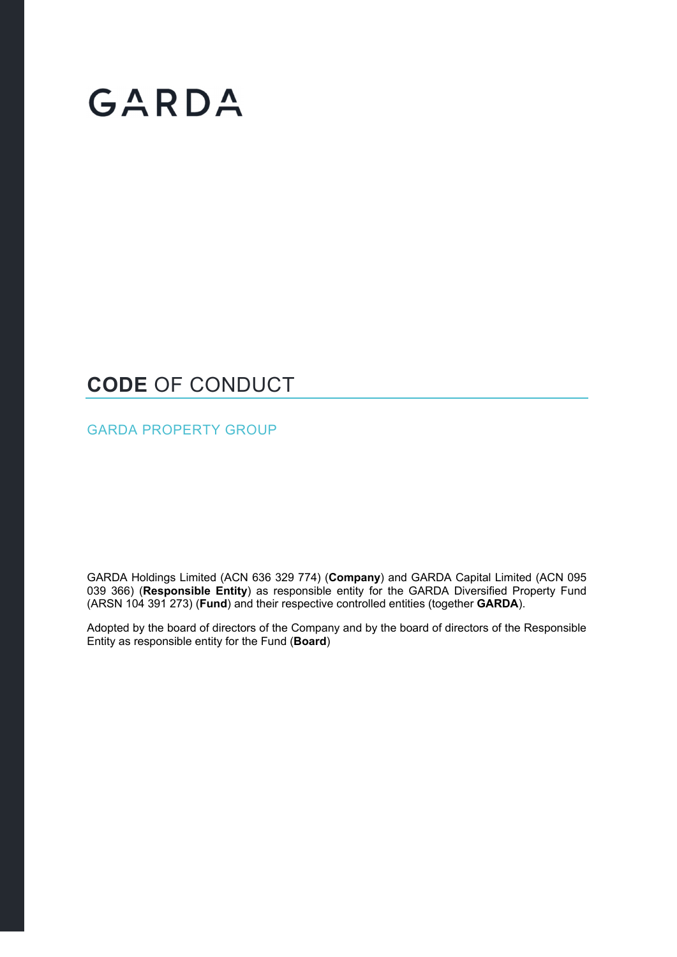# GARDA

### **CODE** OF CONDUCT

GARDA PROPERTY GROUP

GARDA Holdings Limited (ACN 636 329 774) (**Company**) and GARDA Capital Limited (ACN 095 039 366) (**Responsible Entity**) as responsible entity for the GARDA Diversified Property Fund (ARSN 104 391 273) (**Fund**) and their respective controlled entities (together **GARDA**).

Adopted by the board of directors of the Company and by the board of directors of the Responsible Entity as responsible entity for the Fund (**Board**)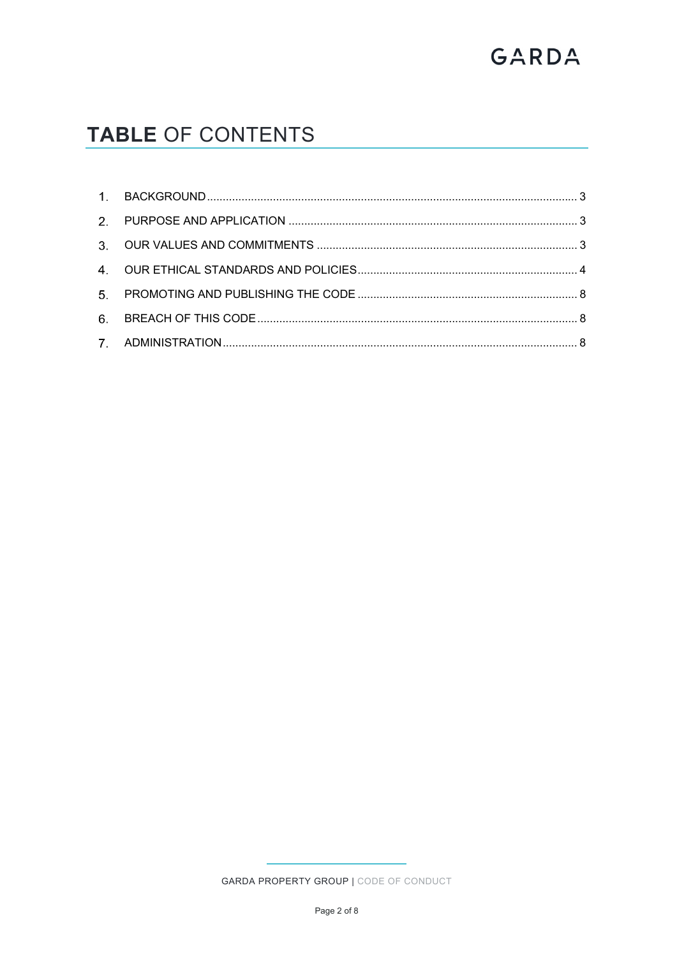# GARDA

## TABLE OF CONTENTS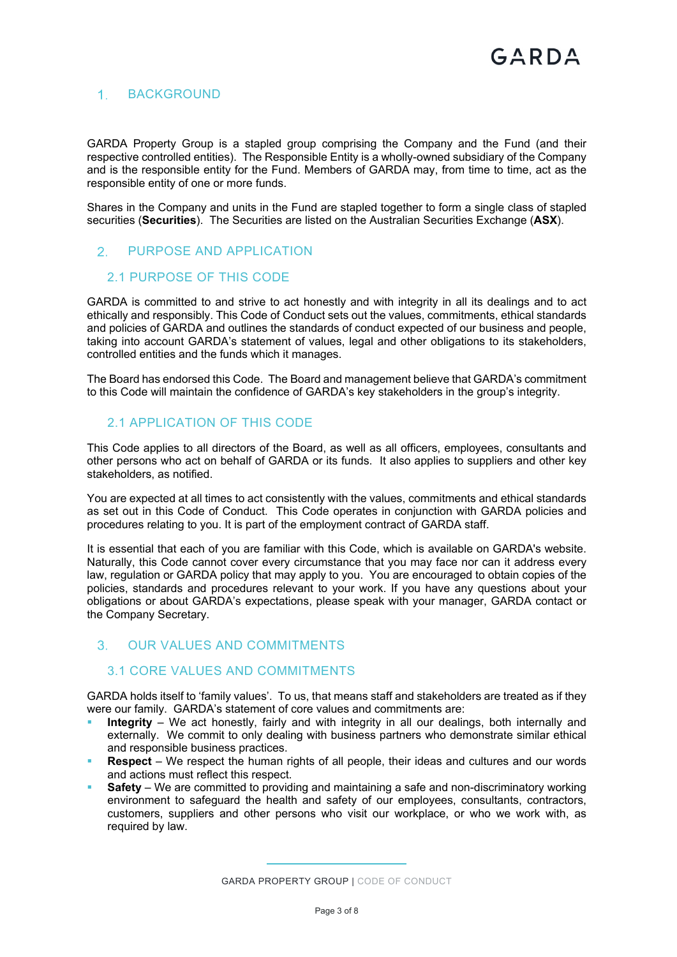#### 1. BACKGROUND

GARDA Property Group is a stapled group comprising the Company and the Fund (and their respective controlled entities). The Responsible Entity is a wholly-owned subsidiary of the Company and is the responsible entity for the Fund. Members of GARDA may, from time to time, act as the responsible entity of one or more funds.

Shares in the Company and units in the Fund are stapled together to form a single class of stapled securities (**Securities**). The Securities are listed on the Australian Securities Exchange (**ASX**).

#### 2. PURPOSE AND APPLICATION

#### 2.1 PURPOSE OF THIS CODE

GARDA is committed to and strive to act honestly and with integrity in all its dealings and to act ethically and responsibly. This Code of Conduct sets out the values, commitments, ethical standards and policies of GARDA and outlines the standards of conduct expected of our business and people, taking into account GARDA's statement of values, legal and other obligations to its stakeholders, controlled entities and the funds which it manages.

The Board has endorsed this Code. The Board and management believe that GARDA's commitment to this Code will maintain the confidence of GARDA's key stakeholders in the group's integrity.

#### 2.1 APPLICATION OF THIS CODE

This Code applies to all directors of the Board, as well as all officers, employees, consultants and other persons who act on behalf of GARDA or its funds. It also applies to suppliers and other key stakeholders, as notified.

You are expected at all times to act consistently with the values, commitments and ethical standards as set out in this Code of Conduct. This Code operates in conjunction with GARDA policies and procedures relating to you. It is part of the employment contract of GARDA staff.

It is essential that each of you are familiar with this Code, which is available on GARDA's website. Naturally, this Code cannot cover every circumstance that you may face nor can it address every law, regulation or GARDA policy that may apply to you. You are encouraged to obtain copies of the policies, standards and procedures relevant to your work. If you have any questions about your obligations or about GARDA's expectations, please speak with your manager, GARDA contact or the Company Secretary.

#### OUR VALUES AND COMMITMENTS

#### 3.1 CORE VALUES AND COMMITMENTS

GARDA holds itself to 'family values'. To us, that means staff and stakeholders are treated as if they were our family. GARDA's statement of core values and commitments are:

- **Integrity** We act honestly, fairly and with integrity in all our dealings, both internally and externally. We commit to only dealing with business partners who demonstrate similar ethical and responsible business practices.
- **Respect** We respect the human rights of all people, their ideas and cultures and our words and actions must reflect this respect.
- **Safety**  We are committed to providing and maintaining a safe and non-discriminatory working environment to safeguard the health and safety of our employees, consultants, contractors, customers, suppliers and other persons who visit our workplace, or who we work with, as required by law.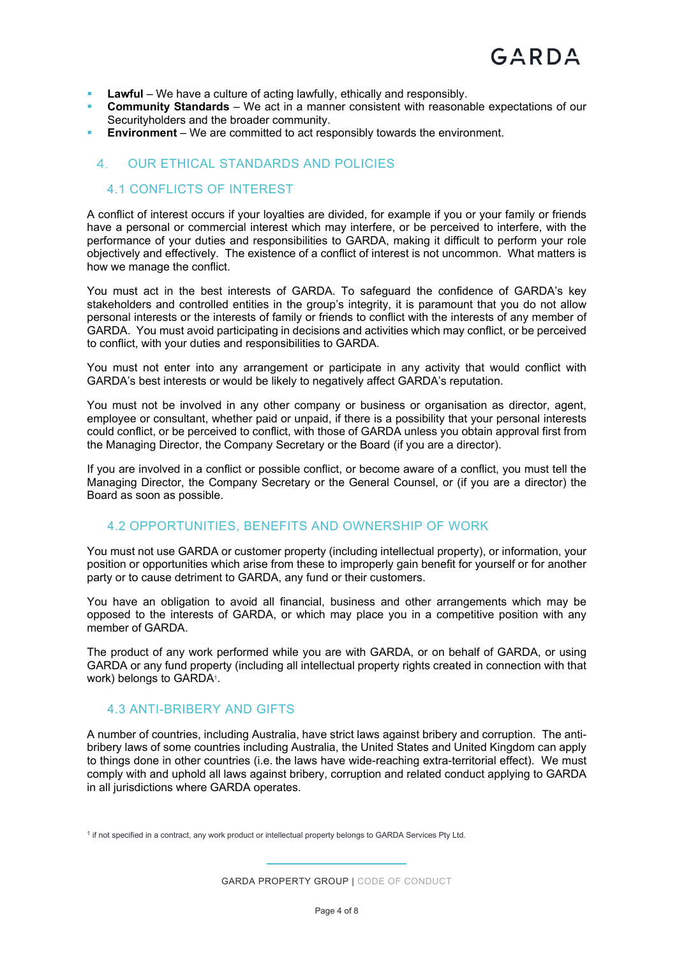- **Lawful** We have a culture of acting lawfully, ethically and responsibly.
- **Community Standards** We act in a manner consistent with reasonable expectations of our Securityholders and the broader community.
- **Environment** We are committed to act responsibly towards the environment.

#### OUR ETHICAL STANDARDS AND POLICIES

#### 4.1 CONFLICTS OF INTEREST

A conflict of interest occurs if your loyalties are divided, for example if you or your family or friends have a personal or commercial interest which may interfere, or be perceived to interfere, with the performance of your duties and responsibilities to GARDA, making it difficult to perform your role objectively and effectively. The existence of a conflict of interest is not uncommon. What matters is how we manage the conflict.

You must act in the best interests of GARDA. To safeguard the confidence of GARDA's key stakeholders and controlled entities in the group's integrity, it is paramount that you do not allow personal interests or the interests of family or friends to conflict with the interests of any member of GARDA. You must avoid participating in decisions and activities which may conflict, or be perceived to conflict, with your duties and responsibilities to GARDA.

You must not enter into any arrangement or participate in any activity that would conflict with GARDA's best interests or would be likely to negatively affect GARDA's reputation.

You must not be involved in any other company or business or organisation as director, agent, employee or consultant, whether paid or unpaid, if there is a possibility that your personal interests could conflict, or be perceived to conflict, with those of GARDA unless you obtain approval first from the Managing Director, the Company Secretary or the Board (if you are a director).

If you are involved in a conflict or possible conflict, or become aware of a conflict, you must tell the Managing Director, the Company Secretary or the General Counsel, or (if you are a director) the Board as soon as possible.

#### 4.2 OPPORTUNITIES, BENEFITS AND OWNERSHIP OF WORK

You must not use GARDA or customer property (including intellectual property), or information, your position or opportunities which arise from these to improperly gain benefit for yourself or for another party or to cause detriment to GARDA, any fund or their customers.

You have an obligation to avoid all financial, business and other arrangements which may be opposed to the interests of GARDA, or which may place you in a competitive position with any member of GARDA.

The product of any work performed while you are with GARDA, or on behalf of GARDA, or using GARDA or any fund property (including all intellectual property rights created in connection with that work) belongs to GARDA1.

#### 4.3 ANTI-BRIBERY AND GIFTS

A number of countries, including Australia, have strict laws against bribery and corruption. The antibribery laws of some countries including Australia, the United States and United Kingdom can apply to things done in other countries (i.e. the laws have wide-reaching extra-territorial effect). We must comply with and uphold all laws against bribery, corruption and related conduct applying to GARDA in all jurisdictions where GARDA operates.

<sup>1</sup> if not specified in a contract, any work product or intellectual property belongs to GARDA Services Pty Ltd.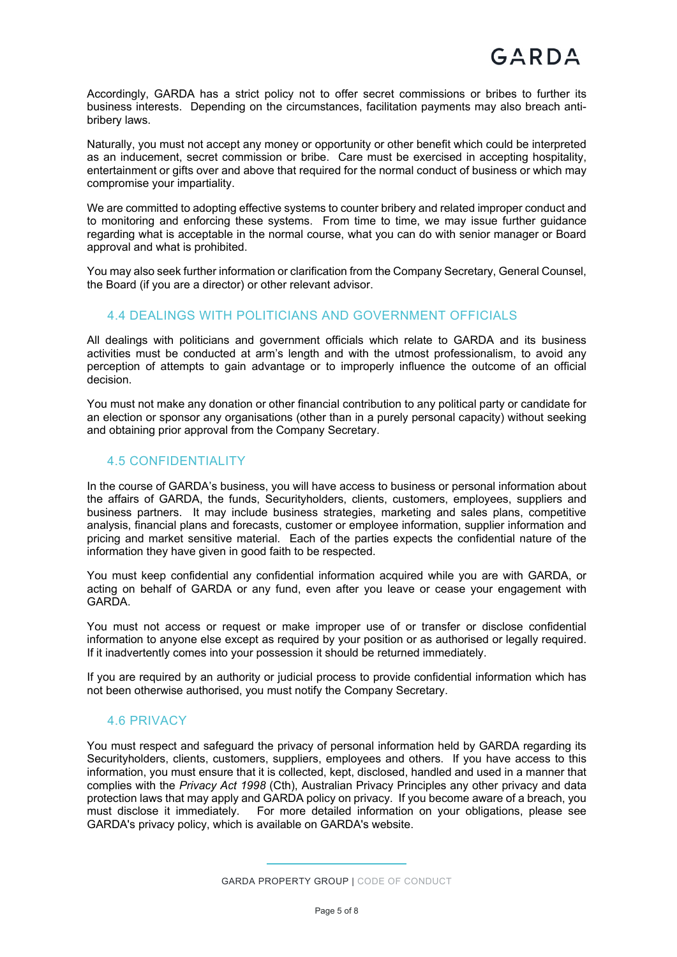Accordingly, GARDA has a strict policy not to offer secret commissions or bribes to further its business interests. Depending on the circumstances, facilitation payments may also breach antibribery laws.

Naturally, you must not accept any money or opportunity or other benefit which could be interpreted as an inducement, secret commission or bribe. Care must be exercised in accepting hospitality, entertainment or gifts over and above that required for the normal conduct of business or which may compromise your impartiality.

We are committed to adopting effective systems to counter bribery and related improper conduct and to monitoring and enforcing these systems. From time to time, we may issue further guidance regarding what is acceptable in the normal course, what you can do with senior manager or Board approval and what is prohibited.

You may also seek further information or clarification from the Company Secretary, General Counsel, the Board (if you are a director) or other relevant advisor.

#### 4.4 DEALINGS WITH POLITICIANS AND GOVERNMENT OFFICIALS

All dealings with politicians and government officials which relate to GARDA and its business activities must be conducted at arm's length and with the utmost professionalism, to avoid any perception of attempts to gain advantage or to improperly influence the outcome of an official decision.

You must not make any donation or other financial contribution to any political party or candidate for an election or sponsor any organisations (other than in a purely personal capacity) without seeking and obtaining prior approval from the Company Secretary.

#### 4.5 CONFIDENTIALITY

In the course of GARDA's business, you will have access to business or personal information about the affairs of GARDA, the funds, Securityholders, clients, customers, employees, suppliers and business partners. It may include business strategies, marketing and sales plans, competitive analysis, financial plans and forecasts, customer or employee information, supplier information and pricing and market sensitive material. Each of the parties expects the confidential nature of the information they have given in good faith to be respected.

You must keep confidential any confidential information acquired while you are with GARDA, or acting on behalf of GARDA or any fund, even after you leave or cease your engagement with GARDA.

You must not access or request or make improper use of or transfer or disclose confidential information to anyone else except as required by your position or as authorised or legally required. If it inadvertently comes into your possession it should be returned immediately.

If you are required by an authority or judicial process to provide confidential information which has not been otherwise authorised, you must notify the Company Secretary.

#### 4.6 PRIVACY

You must respect and safeguard the privacy of personal information held by GARDA regarding its Securityholders, clients, customers, suppliers, employees and others. If you have access to this information, you must ensure that it is collected, kept, disclosed, handled and used in a manner that complies with the *Privacy Act 1998* (Cth), Australian Privacy Principles any other privacy and data protection laws that may apply and GARDA policy on privacy. If you become aware of a breach, you must disclose it immediately. For more detailed information on your obligations, please see GARDA's privacy policy, which is available on GARDA's website.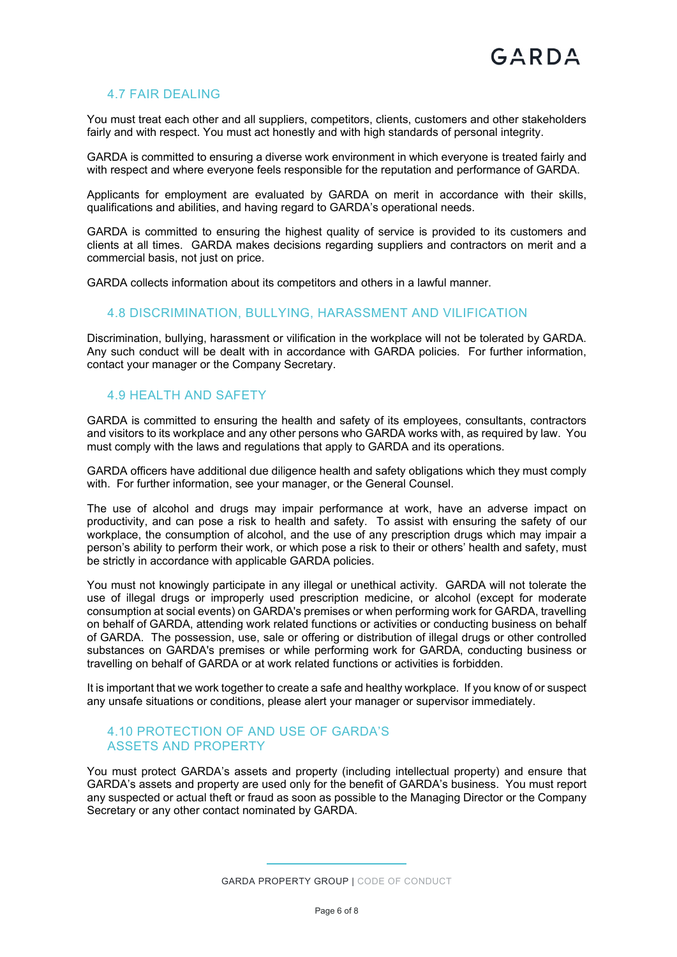#### 4.7 FAIR DEALING

You must treat each other and all suppliers, competitors, clients, customers and other stakeholders fairly and with respect. You must act honestly and with high standards of personal integrity.

GARDA is committed to ensuring a diverse work environment in which everyone is treated fairly and with respect and where everyone feels responsible for the reputation and performance of GARDA.

Applicants for employment are evaluated by GARDA on merit in accordance with their skills, qualifications and abilities, and having regard to GARDA's operational needs.

GARDA is committed to ensuring the highest quality of service is provided to its customers and clients at all times. GARDA makes decisions regarding suppliers and contractors on merit and a commercial basis, not just on price.

GARDA collects information about its competitors and others in a lawful manner.

#### 4.8 DISCRIMINATION, BULLYING, HARASSMENT AND VILIFICATION

Discrimination, bullying, harassment or vilification in the workplace will not be tolerated by GARDA. Any such conduct will be dealt with in accordance with GARDA policies. For further information, contact your manager or the Company Secretary.

#### 4.9 HEALTH AND SAFETY

GARDA is committed to ensuring the health and safety of its employees, consultants, contractors and visitors to its workplace and any other persons who GARDA works with, as required by law. You must comply with the laws and regulations that apply to GARDA and its operations.

GARDA officers have additional due diligence health and safety obligations which they must comply with. For further information, see your manager, or the General Counsel.

The use of alcohol and drugs may impair performance at work, have an adverse impact on productivity, and can pose a risk to health and safety. To assist with ensuring the safety of our workplace, the consumption of alcohol, and the use of any prescription drugs which may impair a person's ability to perform their work, or which pose a risk to their or others' health and safety, must be strictly in accordance with applicable GARDA policies.

You must not knowingly participate in any illegal or unethical activity. GARDA will not tolerate the use of illegal drugs or improperly used prescription medicine, or alcohol (except for moderate consumption at social events) on GARDA's premises or when performing work for GARDA, travelling on behalf of GARDA, attending work related functions or activities or conducting business on behalf of GARDA. The possession, use, sale or offering or distribution of illegal drugs or other controlled substances on GARDA's premises or while performing work for GARDA, conducting business or travelling on behalf of GARDA or at work related functions or activities is forbidden.

It is important that we work together to create a safe and healthy workplace. If you know of or suspect any unsafe situations or conditions, please alert your manager or supervisor immediately.

#### 4.10 PROTECTION OF AND USE OF GARDA'S ASSETS AND PROPERTY

You must protect GARDA's assets and property (including intellectual property) and ensure that GARDA's assets and property are used only for the benefit of GARDA's business. You must report any suspected or actual theft or fraud as soon as possible to the Managing Director or the Company Secretary or any other contact nominated by GARDA.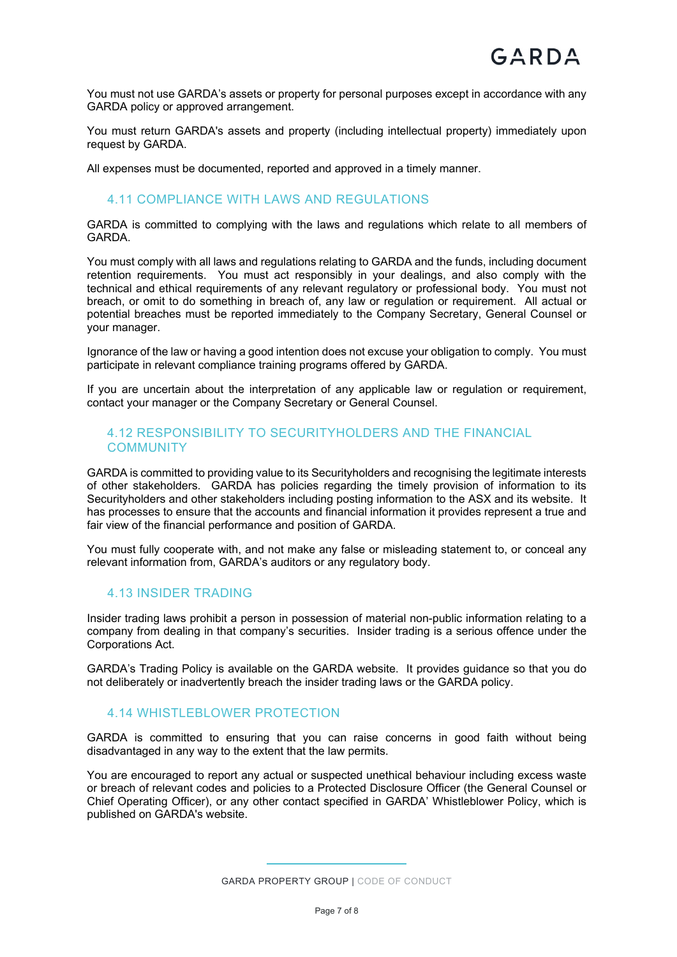You must not use GARDA's assets or property for personal purposes except in accordance with any GARDA policy or approved arrangement.

You must return GARDA's assets and property (including intellectual property) immediately upon request by GARDA.

All expenses must be documented, reported and approved in a timely manner.

#### 4.11 COMPLIANCE WITH LAWS AND REGULATIONS

GARDA is committed to complying with the laws and regulations which relate to all members of GARDA.

You must comply with all laws and regulations relating to GARDA and the funds, including document retention requirements. You must act responsibly in your dealings, and also comply with the technical and ethical requirements of any relevant regulatory or professional body. You must not breach, or omit to do something in breach of, any law or regulation or requirement. All actual or potential breaches must be reported immediately to the Company Secretary, General Counsel or your manager.

Ignorance of the law or having a good intention does not excuse your obligation to comply. You must participate in relevant compliance training programs offered by GARDA.

If you are uncertain about the interpretation of any applicable law or regulation or requirement, contact your manager or the Company Secretary or General Counsel.

#### 4.12 RESPONSIBILITY TO SECURITYHOLDERS AND THE FINANCIAL **COMMUNITY**

GARDA is committed to providing value to its Securityholders and recognising the legitimate interests of other stakeholders. GARDA has policies regarding the timely provision of information to its Securityholders and other stakeholders including posting information to the ASX and its website. It has processes to ensure that the accounts and financial information it provides represent a true and fair view of the financial performance and position of GARDA.

You must fully cooperate with, and not make any false or misleading statement to, or conceal any relevant information from, GARDA's auditors or any regulatory body.

#### 4.13 INSIDER TRADING

Insider trading laws prohibit a person in possession of material non-public information relating to a company from dealing in that company's securities. Insider trading is a serious offence under the Corporations Act.

GARDA's Trading Policy is available on the GARDA website. It provides guidance so that you do not deliberately or inadvertently breach the insider trading laws or the GARDA policy.

#### 4.14 WHISTLEBLOWER PROTECTION

GARDA is committed to ensuring that you can raise concerns in good faith without being disadvantaged in any way to the extent that the law permits.

You are encouraged to report any actual or suspected unethical behaviour including excess waste or breach of relevant codes and policies to a Protected Disclosure Officer (the General Counsel or Chief Operating Officer), or any other contact specified in GARDA' Whistleblower Policy, which is published on GARDA's website.